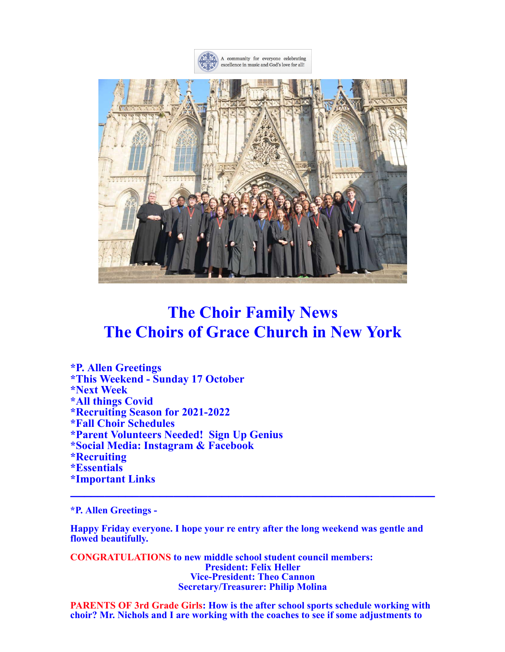



# **The Choir Family News The Choirs of Grace Church in New York**

**\*P. Allen Greetings \*This Weekend - Sunday 17 October \*Next Week \*All things Covid \*Recruiting Season for 2021-2022 \*Fall Choir Schedules \*Parent Volunteers Needed! Sign Up Genius \*Social Media: Instagram & Facebook \*Recruiting \*Essentials \*Important Links \_\_\_\_\_\_\_\_\_\_\_\_\_\_\_\_\_\_\_\_\_\_\_\_\_\_\_\_\_\_\_\_\_\_\_\_\_\_\_\_\_\_\_\_\_\_\_\_\_\_\_\_\_**

#### **\*P. Allen Greetings -**

**Happy Friday everyone. I hope your re entry after the long weekend was gentle and flowed beautifully.**

**CONGRATULATIONS to new middle school student council members: President: Felix Heller Vice-President: Theo Cannon Secretary/Treasurer: Philip Molina**

**PARENTS OF 3rd Grade Girls: How is the after school sports schedule working with choir? Mr. Nichols and I are working with the coaches to see if some adjustments to**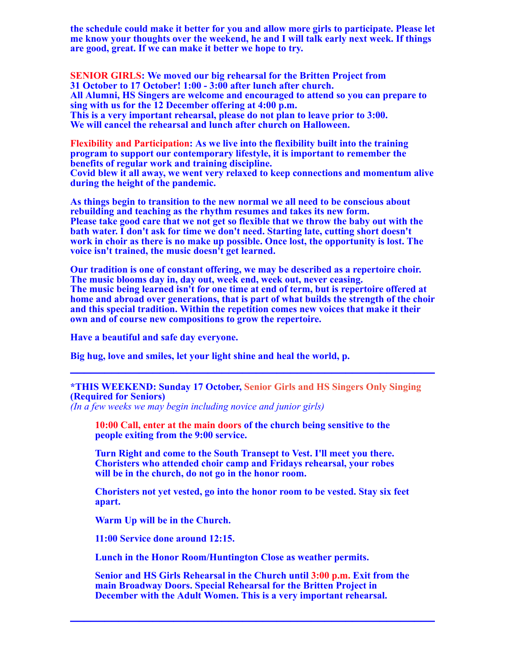**the schedule could make it better for you and allow more girls to participate. Please let me know your thoughts over the weekend, he and I will talk early next week. If things are good, great. If we can make it better we hope to try.**

**SENIOR GIRLS: We moved our big rehearsal for the Britten Project from 31 October to 17 October! 1:00 - 3:00 after lunch after church. All Alumni, HS Singers are welcome and encouraged to attend so you can prepare to sing with us for the 12 December offering at 4:00 p.m. This is a very important rehearsal, please do not plan to leave prior to 3:00. We will cancel the rehearsal and lunch after church on Halloween.**

**Flexibility and Participation: As we live into the flexibility built into the training program to support our contemporary lifestyle, it is important to remember the benefits of regular work and training discipline. Covid blew it all away, we went very relaxed to keep connections and momentum alive during the height of the pandemic.**

**As things begin to transition to the new normal we all need to be conscious about rebuilding and teaching as the rhythm resumes and takes its new form. Please take good care that we not get so flexible that we throw the baby out with the bath water. I don't ask for time we don't need. Starting late, cutting short doesn't work in choir as there is no make up possible. Once lost, the opportunity is lost. The voice isn't trained, the music doesn't get learned.**

**Our tradition is one of constant offering, we may be described as a repertoire choir. The music blooms day in, day out, week end, week out, never ceasing. The music being learned isn't for one time at end of term, but is repertoire offered at home and abroad over generations, that is part of what builds the strength of the choir and this special tradition. Within the repetition comes new voices that make it their own and of course new compositions to grow the repertoire.**

**Have a beautiful and safe day everyone.**

**Big hug, love and smiles, let your light shine and heal the world, p.**

## **\*THIS WEEKEND: Sunday 17 October, Senior Girls and HS Singers Only Singing (Required for Seniors)**

**\_\_\_\_\_\_\_\_\_\_\_\_\_\_\_\_\_\_\_\_\_\_\_\_\_\_\_\_\_\_\_\_\_\_\_\_\_\_\_\_\_\_\_\_\_\_\_\_\_\_\_\_\_**

*(In a few weeks we may begin including novice and junior girls)*

**10:00 Call, enter at the main doors of the church being sensitive to the people exiting from the 9:00 service.**

**Turn Right and come to the South Transept to Vest. I'll meet you there. Choristers who attended choir camp and Fridays rehearsal, your robes will be in the church, do not go in the honor room.**

**Choristers not yet vested, go into the honor room to be vested. Stay six feet apart.**

**Warm Up will be in the Church.**

**11:00 Service done around 12:15.**

**Lunch in the Honor Room/Huntington Close as weather permits.**

**Senior and HS Girls Rehearsal in the Church until 3:00 p.m. Exit from the main Broadway Doors. Special Rehearsal for the Britten Project in December with the Adult Women. This is a very important rehearsal.**

**\_\_\_\_\_\_\_\_\_\_\_\_\_\_\_\_\_\_\_\_\_\_\_\_\_\_\_\_\_\_\_\_\_\_\_\_\_\_\_\_\_\_\_\_\_\_\_\_\_\_\_\_\_**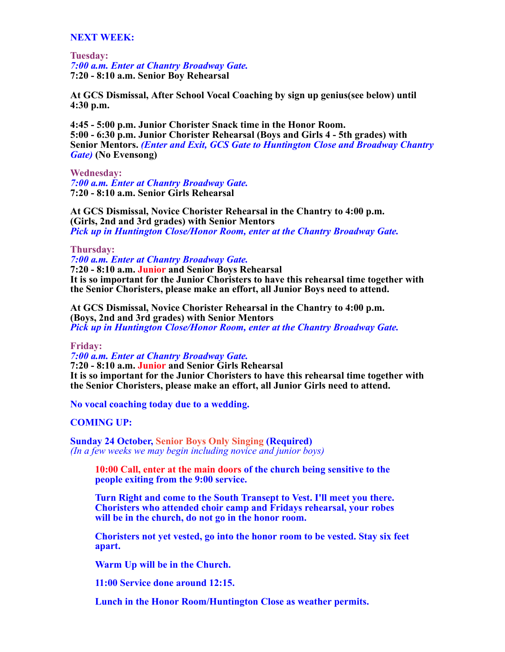## **NEXT WEEK:**

**Tuesday:** *7:00 a.m. Enter at Chantry Broadway Gate.* **7:20 - 8:10 a.m. Senior Boy Rehearsal**

**At GCS Dismissal, After School Vocal Coaching by sign up genius(see below) until 4:30 p.m.**

**4:45 - 5:00 p.m. Junior Chorister Snack time in the Honor Room. 5:00 - 6:30 p.m. Junior Chorister Rehearsal (Boys and Girls 4 - 5th grades) with Senior Mentors.** *(Enter and Exit, GCS Gate to Huntington Close and Broadway Chantry Gate)* **(No Evensong)**

**Wednesday:** *7:00 a.m. Enter at Chantry Broadway Gate.* **7:20 - 8:10 a.m. Senior Girls Rehearsal**

**At GCS Dismissal, Novice Chorister Rehearsal in the Chantry to 4:00 p.m. (Girls, 2nd and 3rd grades) with Senior Mentors** *Pick up in Huntington Close/Honor Room, enter at the Chantry Broadway Gate.*

#### **Thursday:**

*7:00 a.m. Enter at Chantry Broadway Gate.* **7:20 - 8:10 a.m. Junior and Senior Boys Rehearsal**

**It is so important for the Junior Choristers to have this rehearsal time together with the Senior Choristers, please make an effort, all Junior Boys need to attend.**

**At GCS Dismissal, Novice Chorister Rehearsal in the Chantry to 4:00 p.m. (Boys, 2nd and 3rd grades) with Senior Mentors** *Pick up in Huntington Close/Honor Room, enter at the Chantry Broadway Gate.*

**Friday:**

*7:00 a.m. Enter at Chantry Broadway Gate.* **7:20 - 8:10 a.m. Junior and Senior Girls Rehearsal It is so important for the Junior Choristers to have this rehearsal time together with the Senior Choristers, please make an effort, all Junior Girls need to attend.**

**No vocal coaching today due to a wedding.**

## **COMING UP:**

**Sunday 24 October, Senior Boys Only Singing (Required)** *(In a few weeks we may begin including novice and junior boys)*

**10:00 Call, enter at the main doors of the church being sensitive to the people exiting from the 9:00 service.**

**Turn Right and come to the South Transept to Vest. I'll meet you there. Choristers who attended choir camp and Fridays rehearsal, your robes will be in the church, do not go in the honor room.**

**Choristers not yet vested, go into the honor room to be vested. Stay six feet apart.**

**Warm Up will be in the Church.**

**11:00 Service done around 12:15.**

**Lunch in the Honor Room/Huntington Close as weather permits.**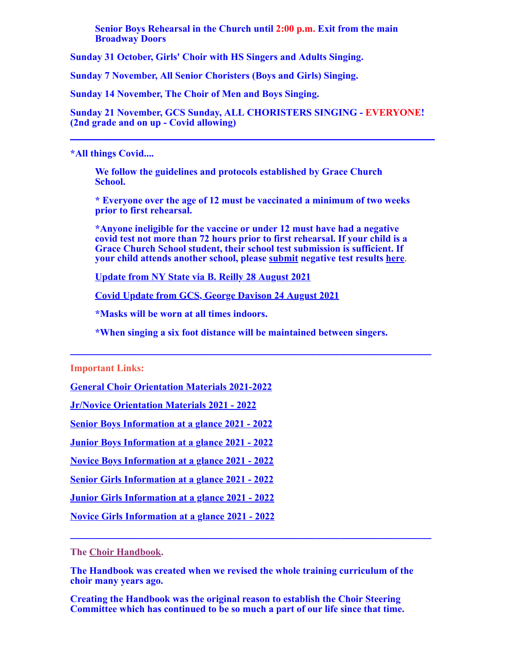**Senior Boys Rehearsal in the Church until 2:00 p.m. Exit from the main Broadway Doors**

**Sunday 31 October, Girls' Choir with HS Singers and Adults Singing.**

**Sunday 7 November, All Senior Choristers (Boys and Girls) Singing.**

**Sunday 14 November, The Choir of Men and Boys Singing.**

**Sunday 21 November, GCS Sunday, ALL CHORISTERS SINGING - EVERYONE! (2nd grade and on up - Covid allowing) \_\_\_\_\_\_\_\_\_\_\_\_\_\_\_\_\_\_\_\_\_\_\_\_\_\_\_\_\_\_\_\_\_\_\_\_\_\_\_\_\_\_\_\_\_\_\_\_\_\_\_\_\_**

## **\*All things Covid....**

**We follow the guidelines and protocols established by Grace Church School.**

**\* Everyone over the age of 12 must be vaccinated a minimum of two weeks prior to first rehearsal.**

**\*Anyone ineligible for the vaccine or under 12 must have had a negative covid test not more than 72 hours prior to first rehearsal. If your child is a Grace Church School student, their school test submission is sufficient. If your child attends another school, please [submit](mailto:gracechoir1894@gmail.com) negative test results [here](mailto:gracechoir1894@gmail.com)**.

**[Update from NY State via B. Reilly 28 August 2021](https://music.gracechurchnyc.org/18577/)**

**[Covid Update from GCS, George Davison 24 August 2021](https://music.gracechurchnyc.org/18568/)**

**\*Masks will be worn at all times indoors.**

**\*When singing a six foot distance will be maintained between singers.**

**\_\_\_\_\_\_\_\_\_\_\_\_\_\_\_\_\_\_\_\_\_\_\_\_\_\_\_\_\_\_\_\_\_\_\_\_\_\_\_\_\_\_\_\_\_\_\_\_\_\_\_\_\_\_\_\_\_\_\_\_\_\_\_\_\_\_\_\_\_\_\_\_\_\_\_**

## **Important Links:**

**[General Choir Orientation Materials 2021-2022](https://music.gracechurchnyc.org/2021-2022-chorister-orientation-general-pages/)**

**[Jr/Novice Orientation Materials 2021 - 2022](https://music.gracechurchnyc.org/junior-and-novice-chorister-orientation-pages-2021-2022/)**

**[Senior Boys Information at a glance 2021 - 2022](https://music.gracechurchnyc.org/senior-boys-information-at-a-glance-2021-2022/)**

**[Junior Boys Information at a glance 2021 - 2022](https://music.gracechurchnyc.org/junior-boys-information-at-a-glance-2021-2022/)**

**[Novice Boys Information at a glance 2021 - 2022](https://music.gracechurchnyc.org/novice-boys-information-at-a-glance-2021-2022/)**

**[Senior Girls Information at a glance 2021 - 2022](https://music.gracechurchnyc.org/senior-girls-information-at-a-glance-2021-2022/)**

**[Junior Girls Information at a glance 2021 - 2022](https://music.gracechurchnyc.org/junior-girls-information-at-a-glance-2021-2022/)**

**[Novice Girls Information at a glance 2021 - 2022](https://music.gracechurchnyc.org/novice-girls-information-at-a-glance-2021-2022/)**

**The [Choir Handbook.](https://music.gracechurchnyc.org/wp-content/uploads/2021/01/WEBChoir-Handbooktext2020.pdf)**

**The Handbook was created when we revised the whole training curriculum of the choir many years ago.**

**\_\_\_\_\_\_\_\_\_\_\_\_\_\_\_\_\_\_\_\_\_\_\_\_\_\_\_\_\_\_\_\_\_\_\_\_\_\_\_\_\_\_\_\_\_\_\_\_\_\_\_\_\_\_\_\_\_\_\_\_\_\_\_\_\_\_\_\_\_\_\_\_\_\_\_**

**Creating the Handbook was the original reason to establish the Choir Steering Committee which has continued to be so much a part of our life since that time.**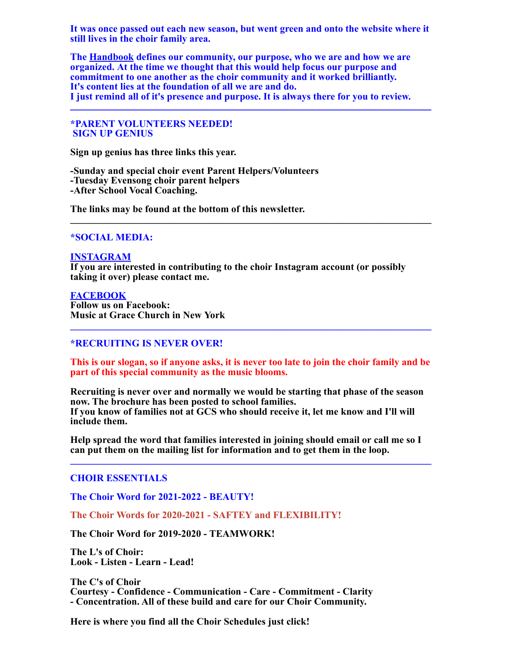**It was once passed out each new season, but went green and onto the website where it still lives in the choir family area.**

**The [Handbook](https://music.gracechurchnyc.org/wp-content/uploads/2021/01/WEBChoir-Handbooktext2020.pdf) defines our community, our purpose, who we are and how we are organized. At the time we thought that this would help focus our purpose and commitment to one another as the choir community and it worked brilliantly. It's content lies at the foundation of all we are and do. I just remind all of it's presence and purpose. It is always there for you to review.**

**\_\_\_\_\_\_\_\_\_\_\_\_\_\_\_\_\_\_\_\_\_\_\_\_\_\_\_\_\_\_\_\_\_\_\_\_\_\_\_\_\_\_\_\_\_\_\_\_\_\_\_\_\_\_\_\_\_\_\_\_\_\_\_\_\_\_\_\_\_\_\_\_\_\_\_**

**\*PARENT VOLUNTEERS NEEDED! SIGN UP GENIUS**

**Sign up genius has three links this year.**

**-Sunday and special choir event Parent Helpers/Volunteers -Tuesday Evensong choir parent helpers -After School Vocal Coaching.**

**The links may be found at the bottom of this newsletter. \_\_\_\_\_\_\_\_\_\_\_\_\_\_\_\_\_\_\_\_\_\_\_\_\_\_\_\_\_\_\_\_\_\_\_\_\_\_\_\_\_\_\_\_\_\_\_\_\_\_\_\_\_\_\_\_\_\_\_\_\_\_\_\_\_\_\_\_\_\_\_\_\_**

#### **\*SOCIAL MEDIA:**

#### **[INSTAGRAM](http://r20.rs6.net/tn.jsp?f=001VdaRqvtZlKRh7WfcHRu6UN41E-X36pworJ2dMfkaEYFBnkPw5Kgiix85OO0SkQEcYpw4J5aCRO7N3o7xq3OOxkEHt0DSW86EmjQJlo-7od7LkbvgGgbhAS5kygiub8VwqKGQL48obJF7TtQw-4C6UXKi2kK4IKT6ylqWss4amASj_z7Fhky0O9j-LvA4eaywHurMSgWzku4ctGS0lCOzxQ==&c=m1UyDo1ELUPeGRRXAjZxXdpvUNqxGrMZSgXeAxJLDeSXrDMJATpIHw==&ch=7mFUXTh4efNL9vEzr8ptiPvpf5u3a3_7EUbPosOFHsaB-_xbsPqhBQ==)**

**If you are interested in contributing to the choir Instagram account (or possibly taking it over) please contact me.**

#### **[FACEBOOK](http://r20.rs6.net/tn.jsp?f=001VdaRqvtZlKRh7WfcHRu6UN41E-X36pworJ2dMfkaEYFBnkPw5Kgii5MZ8DjO1zDGsFxl3G88xhvelTx8oarVsaHfXcsiIpm4dNJn4MrR2PjHbG15bie9uYWHEhfOFu09q8tRAWBBA11IsbXE4QOKI71X10NkjMfbRVsvEaUKVzDWIx0hT8QV5KBIb33wdKqE9u0KD2u_XnDK8HNyOYi4I-9AUi4flPkl&c=m1UyDo1ELUPeGRRXAjZxXdpvUNqxGrMZSgXeAxJLDeSXrDMJATpIHw==&ch=7mFUXTh4efNL9vEzr8ptiPvpf5u3a3_7EUbPosOFHsaB-_xbsPqhBQ==)**

**Follow us on Facebook: Music at Grace Church in New York**

#### **\*RECRUITING IS NEVER OVER!**

**This is our slogan, so if anyone asks, it is never too late to join the choir family and be part of this special community as the music blooms.**

**\_\_\_\_\_\_\_\_\_\_\_\_\_\_\_\_\_\_\_\_\_\_\_\_\_\_\_\_\_\_\_\_\_\_\_\_\_\_\_\_\_\_\_\_\_\_\_\_\_\_\_\_\_\_\_\_\_\_\_\_\_\_\_\_\_\_\_\_\_\_\_\_\_**

**Recruiting is never over and normally we would be starting that phase of the season now. The brochure has been posted to school families. If you know of families not at GCS who should receive it, let me know and I'll will include them.**

**Help spread the word that families interested in joining should email or call me so I can put them on the mailing list for information and to get them in the loop. \_\_\_\_\_\_\_\_\_\_\_\_\_\_\_\_\_\_\_\_\_\_\_\_\_\_\_\_\_\_\_\_\_\_\_\_\_\_\_\_\_\_\_\_\_\_\_\_\_\_\_\_\_\_\_\_\_\_\_\_\_\_\_\_\_\_\_\_\_\_\_\_\_**

#### **CHOIR ESSENTIALS**

**The Choir Word for 2021-2022 - BEAUTY!**

**The Choir Words for 2020-2021 - SAFTEY and FLEXIBILITY!**

**The Choir Word for 2019-2020 - TEAMWORK!**

**The L's of Choir: Look - Listen - Learn - Lead!**

**The C's of Choir Courtesy - Confidence - Communication - Care - Commitment - Clarity - Concentration. All of these build and care for our Choir Community.**

**Here is where you find all the Choir Schedules just click!**